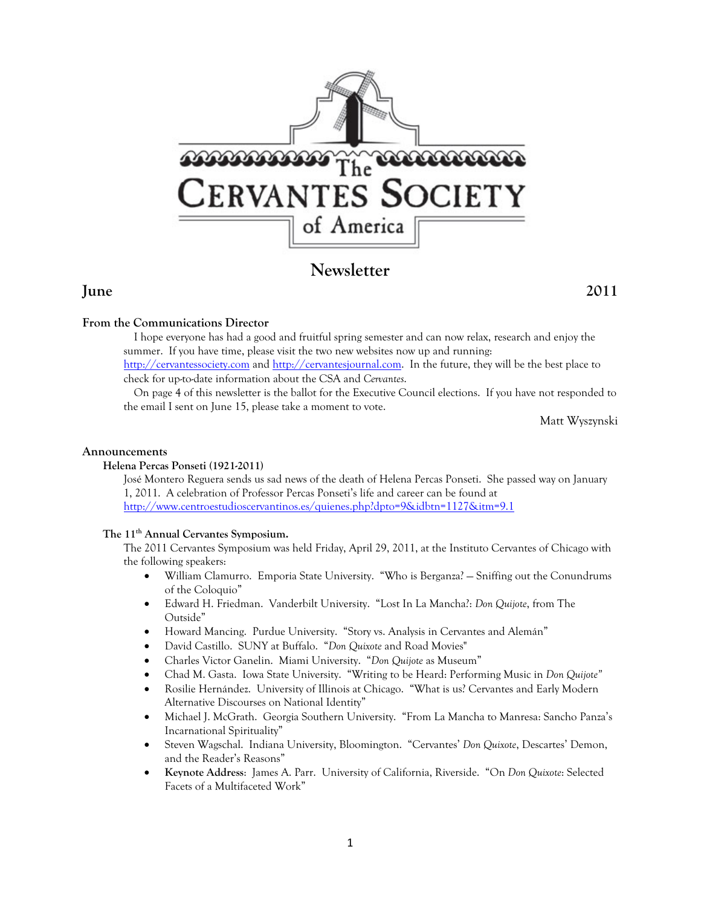

# **Newsletter**

## **From the Communications Director**

I hope everyone has had a good and fruitful spring semester and can now relax, research and enjoy the summer. If you have time, please visit the two new websites now up and running:

http://cervantessociety.com and http://cervantesjournal.com. In the future, they will be the best place to check for up-to-date information about the CSA and *Cervantes*.

On page 4 of this newsletter is the ballot for the Executive Council elections. If you have not responded to the email I sent on June 15, please take a moment to vote.

Matt Wyszynski

#### **Announcements**

### **Helena Percas Ponseti (1921-2011)**

José Montero Reguera sends us sad news of the death of Helena Percas Ponseti. She passed way on January 1, 2011. A celebration of Professor Percas Ponseti's life and career can be found at http://www.centroestudioscervantinos.es/quienes.php?dpto=9&idbtn=1127&itm=9.1

### The 11<sup>th</sup> Annual Cervantes Symposium.

The 2011 Cervantes Symposium was held Friday, April 29, 2011, at the Instituto Cervantes of Chicago with the following speakers:

- William Clamurro. Emporia State University. "Who is Berganza? Sniffing out the Conundrums of the Coloquio"
- Edward H. Friedman. Vanderbilt University. "Lost In La Mancha?: *Don Quijote*, from The Outside"
- Howard Mancing. Purdue University. "Story vs. Analysis in Cervantes and Alemán"
- David Castillo. SUNY at Buffalo. "*Don Quixote* and Road Movies"
- Charles Victor Ganelin. Miami University. "*Don Quijote* as Museum"
- Chad M. Gasta. Iowa State University. "Writing to be Heard: Performing Music in *Don Quijote"*
- Rosilie Hernández. University of Illinois at Chicago. "What is us? Cervantes and Early Modern Alternative Discourses on National Identity"
- Michael J. McGrath. Georgia Southern University. "From La Mancha to Manresa: Sancho Panza's Incarnational Spirituality"
- Steven Wagschal. Indiana University, Bloomington. "Cervantes' *Don Quixote*, Descartes' Demon, and the Reader's Reasons"
- **Keynote Address**: James A. Parr. University of California, Riverside. "On *Don Quixote*: Selected Facets of a Multifaceted Work"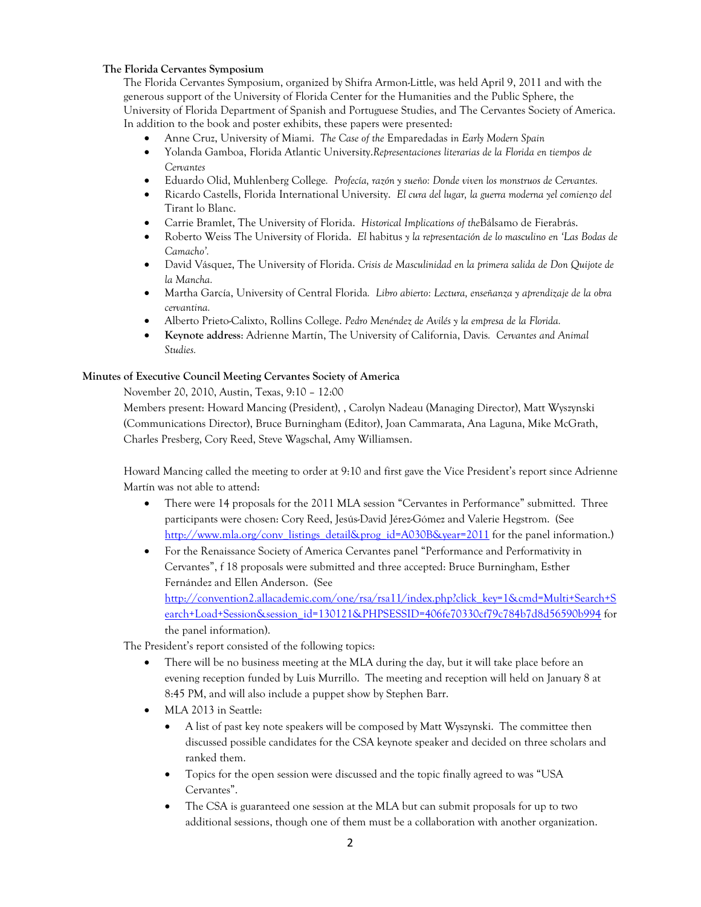### **The Florida Cervantes Symposium**

The Florida Cervantes Symposium, organized by Shifra Armon-Little, was held April 9, 2011 and with the generous support of the University of Florida Center for the Humanities and the Public Sphere, the University of Florida Department of Spanish and Portuguese Studies, and The Cervantes Society of America. In addition to the book and poster exhibits, these papers were presented:

- Anne Cruz, University of Miami. *The Case of the* Emparedadas i*n Early Modern Spain*
- Yolanda Gamboa, Florida Atlantic University.*Representaciones literarias de la Florida en tiempos de Cervantes*
- Eduardo Olid, Muhlenberg College*. Profecía, razón y sueño: Donde viven los monstruos de Cervantes.*
- Ricardo Castells, Florida International University. *El cura del lugar, la guerra moderna yel comienzo del*  Tirant lo Blanc.
- Carrie Bramlet, The University of Florida. *Historical Implications of the*Bálsamo de Fierabrás.
- Roberto Weiss The University of Florida. *El* habitus *y la representación de lo masculino en 'Las Bodas de Camacho'.*
- David Vásquez, The University of Florida. *Crisis de Masculinidad en la primera salida de Don Quijote de la Mancha.*
- Martha García, University of Central Florida*. Libro abierto: Lectura, enseñanza y aprendizaje de la obra cervantina.*
- Alberto Prieto-Calixto, Rollins College. *Pedro Menéndez de Avilés y la empresa de la Florida.*
- **Keynote address**: Adrienne Martín, The University of California, Davis*. Cervantes and Animal Studies.*

#### **Minutes of Executive Council Meeting Cervantes Society of America**

November 20, 2010, Austin, Texas, 9:10 – 12:00

Members present: Howard Mancing (President), , Carolyn Nadeau (Managing Director), Matt Wyszynski (Communications Director), Bruce Burningham (Editor), Joan Cammarata, Ana Laguna, Mike McGrath, Charles Presberg, Cory Reed, Steve Wagschal, Amy Williamsen.

Howard Mancing called the meeting to order at 9:10 and first gave the Vice President's report since Adrienne Martín was not able to attend:

- There were 14 proposals for the 2011 MLA session "Cervantes in Performance" submitted. Three participants were chosen: Cory Reed, Jesús-David Jérez-Gómez and Valerie Hegstrom. (See http://www.mla.org/conv\_listings\_detail&prog\_id=A030B&year=2011 for the panel information.)
- For the Renaissance Society of America Cervantes panel "Performance and Performativity in Cervantes", f 18 proposals were submitted and three accepted: Bruce Burningham, Esther Fernández and Ellen Anderson. (See http://convention2.allacademic.com/one/rsa/rsa11/index.php?click\_key=1&cmd=Multi+Search+S earch+Load+Session&session\_id=130121&PHPSESSID=406fe70330cf79c784b7d8d56590b994 for the panel information).

The President's report consisted of the following topics:

- There will be no business meeting at the MLA during the day, but it will take place before an evening reception funded by Luis Murrillo. The meeting and reception will held on January 8 at 8:45 PM, and will also include a puppet show by Stephen Barr.
- MLA 2013 in Seattle:
	- A list of past key note speakers will be composed by Matt Wyszynski. The committee then discussed possible candidates for the CSA keynote speaker and decided on three scholars and ranked them.
	- Topics for the open session were discussed and the topic finally agreed to was "USA Cervantes".
	- The CSA is guaranteed one session at the MLA but can submit proposals for up to two additional sessions, though one of them must be a collaboration with another organization.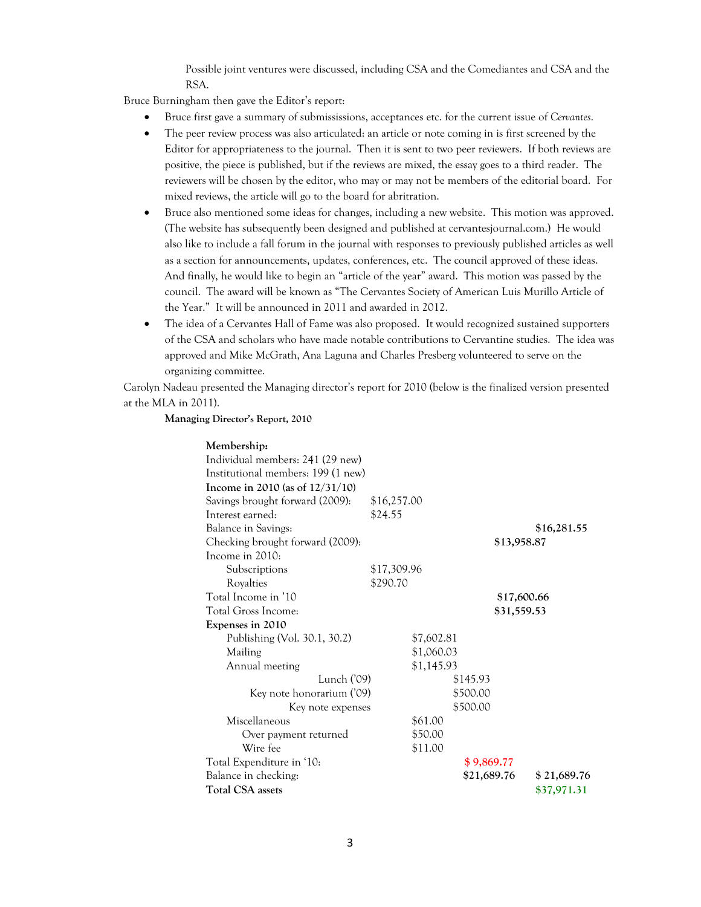Possible joint ventures were discussed, including CSA and the Comediantes and CSA and the RSA.

Bruce Burningham then gave the Editor's report:

- Bruce first gave a summary of submississions, acceptances etc. for the current issue of *Cervantes*.
- The peer review process was also articulated: an article or note coming in is first screened by the Editor for appropriateness to the journal. Then it is sent to two peer reviewers. If both reviews are positive, the piece is published, but if the reviews are mixed, the essay goes to a third reader. The reviewers will be chosen by the editor, who may or may not be members of the editorial board. For mixed reviews, the article will go to the board for abritration.
- Bruce also mentioned some ideas for changes, including a new website. This motion was approved. (The website has subsequently been designed and published at cervantesjournal.com.) He would also like to include a fall forum in the journal with responses to previously published articles as well as a section for announcements, updates, conferences, etc. The council approved of these ideas. And finally, he would like to begin an "article of the year" award. This motion was passed by the council. The award will be known as "The Cervantes Society of American Luis Murillo Article of the Year." It will be announced in 2011 and awarded in 2012.
- The idea of a Cervantes Hall of Fame was also proposed. It would recognized sustained supporters of the CSA and scholars who have made notable contributions to Cervantine studies. The idea was approved and Mike McGrath, Ana Laguna and Charles Presberg volunteered to serve on the organizing committee.

Carolyn Nadeau presented the Managing director's report for 2010 (below is the finalized version presented at the MLA in 2011).

#### **Managing Director's Report, 2010**

| Membership:                        |             |            |             |             |             |
|------------------------------------|-------------|------------|-------------|-------------|-------------|
| Individual members: 241 (29 new)   |             |            |             |             |             |
| Institutional members: 199 (1 new) |             |            |             |             |             |
| Income in 2010 (as of $12/31/10$ ) |             |            |             |             |             |
| Savings brought forward (2009):    | \$16,257.00 |            |             |             |             |
| Interest earned:                   | \$24.55     |            |             |             |             |
| <b>Balance in Savings:</b>         |             |            |             |             | \$16,281.55 |
| Checking brought forward (2009):   |             |            |             | \$13,958.87 |             |
| Income in 2010:                    |             |            |             |             |             |
| Subscriptions                      | \$17,309.96 |            |             |             |             |
| Royalties                          | \$290.70    |            |             |             |             |
| Total Income in '10                |             |            |             | \$17,600.66 |             |
| Total Gross Income:                |             |            |             | \$31,559.53 |             |
| Expenses in 2010                   |             |            |             |             |             |
| Publishing (Vol. 30.1, 30.2)       |             | \$7,602.81 |             |             |             |
| Mailing                            |             | \$1,060.03 |             |             |             |
| Annual meeting                     |             | \$1,145.93 |             |             |             |
| Lunch ('09)                        |             |            | \$145.93    |             |             |
| Key note honorarium ('09)          |             |            | \$500.00    |             |             |
| Key note expenses                  |             |            | \$500.00    |             |             |
| Miscellaneous                      |             | \$61.00    |             |             |             |
| Over payment returned              |             | \$50.00    |             |             |             |
| Wire fee                           |             | \$11.00    |             |             |             |
| Total Expenditure in '10:          |             |            | \$9,869.77  |             |             |
| Balance in checking:               |             |            | \$21,689.76 |             | \$21,689.76 |
| <b>Total CSA</b> assets            |             |            |             |             | \$37,971.31 |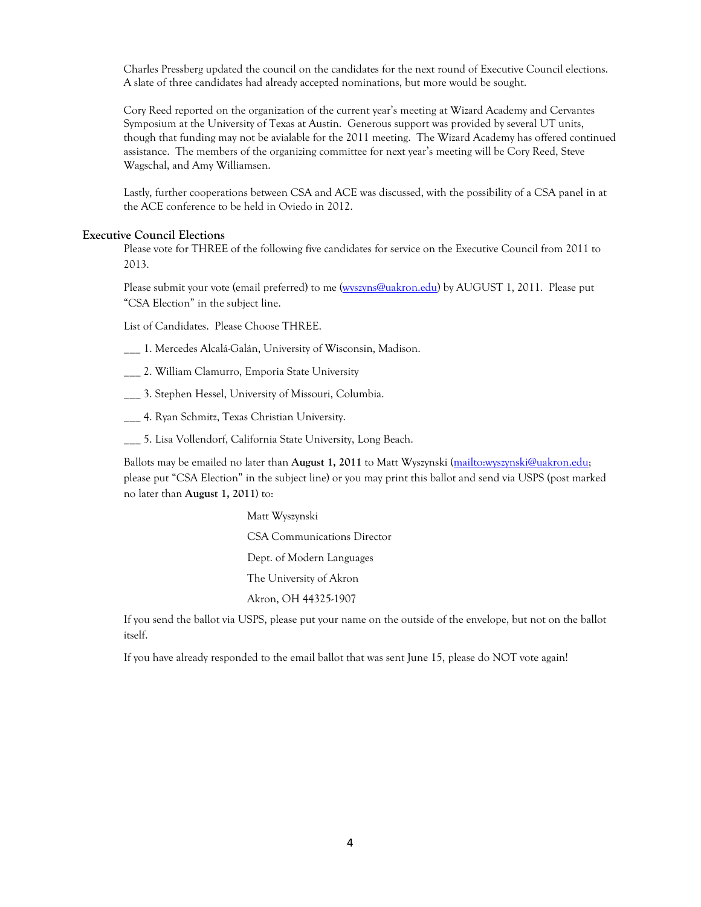Charles Pressberg updated the council on the candidates for the next round of Executive Council elections. A slate of three candidates had already accepted nominations, but more would be sought.

Cory Reed reported on the organization of the current year's meeting at Wizard Academy and Cervantes Symposium at the University of Texas at Austin. Generous support was provided by several UT units, though that funding may not be avialable for the 2011 meeting. The Wizard Academy has offered continued assistance. The members of the organizing committee for next year's meeting will be Cory Reed, Steve Wagschal, and Amy Williamsen.

Lastly, further cooperations between CSA and ACE was discussed, with the possibility of a CSA panel in at the ACE conference to be held in Oviedo in 2012.

#### **Executive Council Elections**

Please vote for THREE of the following five candidates for service on the Executive Council from 2011 to 2013.

Please submit your vote (email preferred) to me (wyszyns@uakron.edu) by AUGUST 1, 2011. Please put "CSA Election" in the subject line.

List of Candidates. Please Choose THREE.

\_\_\_ 1. Mercedes Alcalá-Galán, University of Wisconsin, Madison.

\_\_\_ 2. William Clamurro, Emporia State University

\_\_\_ 3. Stephen Hessel, University of Missouri, Columbia.

 $\frac{1}{1}$  4. Ryan Schmitz, Texas Christian University.

\_\_\_ 5. Lisa Vollendorf, California State University, Long Beach.

Ballots may be emailed no later than **August 1, 2011** to Matt Wyszynski (mailto:wyszynski@uakron.edu; please put "CSA Election" in the subject line) or you may print this ballot and send via USPS (post marked no later than **August 1, 2011)** to:

> Matt Wyszynski CSA Communications Director Dept. of Modern Languages The University of Akron Akron, OH 44325-1907

If you send the ballot via USPS, please put your name on the outside of the envelope, but not on the ballot itself.

If you have already responded to the email ballot that was sent June 15, please do NOT vote again!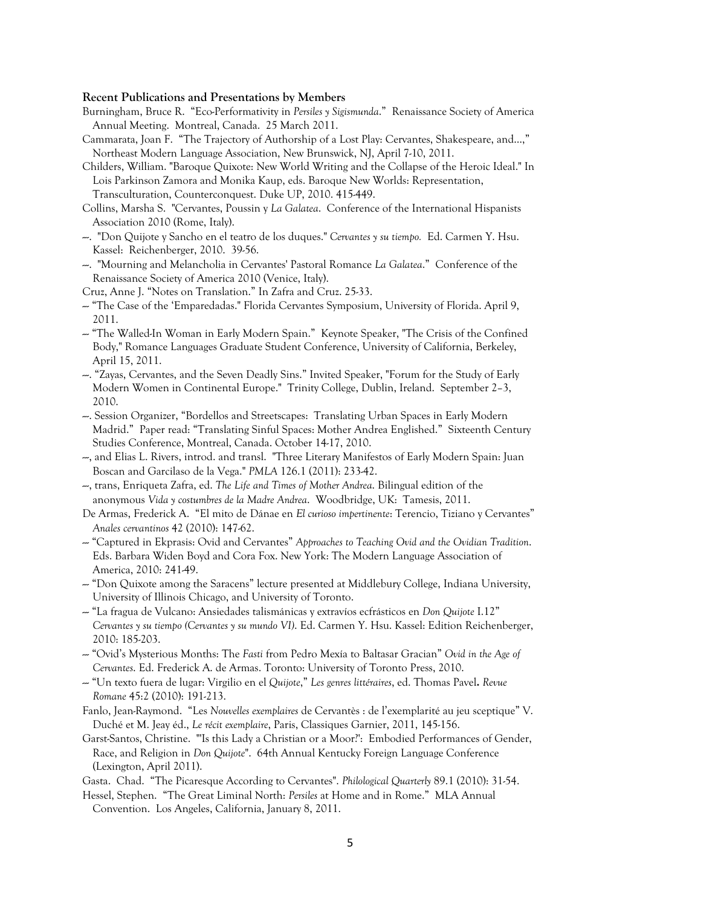#### **Recent Publications and Presentations by Members**

- Burningham, Bruce R. "Eco-Performativity in *Persiles y Sigismunda*." Renaissance Society of America Annual Meeting. Montreal, Canada. 25 March 2011.
- Cammarata, Joan F. "The Trajectory of Authorship of a Lost Play: Cervantes, Shakespeare, and…," Northeast Modern Language Association, New Brunswick, NJ, April 7-10, 2011.
- Childers, William. "Baroque Quixote: New World Writing and the Collapse of the Heroic Ideal." In Lois Parkinson Zamora and Monika Kaup, eds. Baroque New Worlds: Representation, Transculturation, Counterconquest. Duke UP, 2010. 415-449.
- Collins, Marsha S. "Cervantes, Poussin y *La Galatea*. Conference of the International Hispanists Association 2010 (Rome, Italy).
- ---. "Don Quijote y Sancho en el teatro de los duques." *Cervantes y su tiempo.* Ed. Carmen Y. Hsu. Kassel: Reichenberger, 2010. 39-56.
- ---. "Mourning and Melancholia in Cervantes' Pastoral Romance *La Galatea*." Conference of the Renaissance Society of America 2010 (Venice, Italy).
- Cruz, Anne J. "Notes on Translation." In Zafra and Cruz. 25-33.
- --- "The Case of the 'Emparedadas." Florida Cervantes Symposium, University of Florida. April 9, 2011.
- --- "The Walled-In Woman in Early Modern Spain." Keynote Speaker, "The Crisis of the Confined Body," Romance Languages Graduate Student Conference, University of California, Berkeley, April 15, 2011.
- ---. "Zayas, Cervantes, and the Seven Deadly Sins." Invited Speaker, "Forum for the Study of Early Modern Women in Continental Europe." Trinity College, Dublin, Ireland. September 2–3, 2010.
- ---. Session Organizer, "Bordellos and Streetscapes: Translating Urban Spaces in Early Modern Madrid." Paper read: "Translating Sinful Spaces: Mother Andrea Englished." Sixteenth Century Studies Conference, Montreal, Canada. October 14-17, 2010.
- ---, and Elias L. Rivers, introd. and transl. "Three Literary Manifestos of Early Modern Spain: Juan Boscan and Garcilaso de la Vega." *PMLA* 126.1 (2011): 233-42.
- ---, trans, Enriqueta Zafra, ed. *The Life and Times of Mother Andrea*. Bilingual edition of the anonymous *Vida y costumbres de la Madre Andrea*. Woodbridge, UK: Tamesis, 2011.
- De Armas, Frederick A. "El mito de Dánae en *El curioso impertinente*: Terencio, Tiziano y Cervantes" *Anales cervantinos* 42 (2010): 147-62.
- --- "Captured in Ekprasis: Ovid and Cervantes" *Approaches to Teaching Ovid and the Ovidian Tradition*. Eds. Barbara Widen Boyd and Cora Fox. New York: The Modern Language Association of America, 2010: 241-49.
- $-$  "Don Quixote among the Saracens" lecture presented at Middlebury College, Indiana University, University of Illinois Chicago, and University of Toronto.
- --- "La fragua de Vulcano: Ansiedades talismánicas y extravíos ecfrásticos en *Don Quijote* I.12" *Cervantes y su tiempo (Cervantes y su mundo VI)*. Ed. Carmen Y. Hsu. Kassel: Edition Reichenberger, 2010: 185-203.
- --- "Ovid's Mysterious Months: The *Fasti* from Pedro Mexía to Baltasar Gracian" *Ovid in the Age of Cervantes*. Ed. Frederick A. de Armas. Toronto: University of Toronto Press, 2010.
- --- "Un texto fuera de lugar: Virgilio en el *Quijote*," *Les genres littéraires*, ed. Thomas Pavel**.** *Revue Romane* 45:2 (2010): 191-213.
- Fanlo, Jean-Raymond. "Les *Nouvelles exemplaires* de Cervantès : de l'exemplarité au jeu sceptique" V. Duché et M. Jeay éd., *Le récit exemplaire*, Paris, Classiques Garnier, 2011, 145-156.
- Garst-Santos, Christine. "'Is this Lady a Christian or a Moor?': Embodied Performances of Gender, Race, and Religion in *Don Quijote*". 64th Annual Kentucky Foreign Language Conference (Lexington, April 2011).
- Gasta. Chad. "The Picaresque According to Cervantes". *Philological Quarterly* 89.1 (2010): 31-54.
- Hessel, Stephen. "The Great Liminal North: *Persiles* at Home and in Rome." MLA Annual Convention. Los Angeles, California, January 8, 2011.